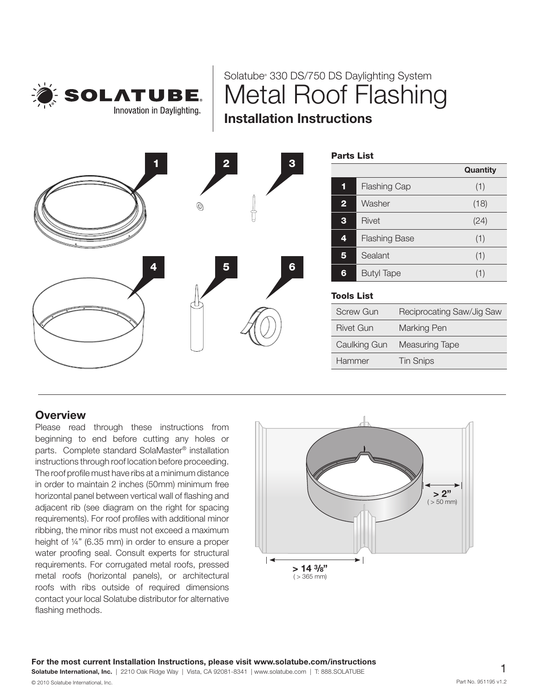

Solatube® 330 DS/750 DS Daylighting System Metal Roof Flashing Installation Instructions

|   |              |                                | <b>Parts List</b>         |                           |          |
|---|--------------|--------------------------------|---------------------------|---------------------------|----------|
| 1 |              | $\overline{2}$<br>$\mathbf{3}$ |                           |                           | Quantity |
|   | $^\circledR$ |                                | <b>Flashing Cap</b><br>1  |                           | (1)      |
|   |              |                                | Washer<br>$\overline{2}$  |                           | (18)     |
|   |              |                                | $\mathbf{3}$<br>Rivet     |                           | (24)     |
|   |              |                                | <b>Flashing Base</b><br>4 |                           | (1)      |
| 4 | 5            |                                | $5\phantom{1}$<br>Sealant |                           | (1)      |
|   |              | $6 \nightharpoonup$            | <b>Butyl Tape</b><br>6    |                           | (1)      |
|   |              |                                | <b>Tools List</b>         |                           |          |
|   |              |                                | <b>Screw Gun</b>          | Reciprocating Saw/Jig Saw |          |
|   |              |                                | <b>Rivet Gun</b>          | Marking Pen               |          |
|   |              |                                | Caulking Gun              | Measuring Tape            |          |
|   |              |                                | Hammer                    | <b>Tin Snips</b>          |          |
|   |              |                                |                           |                           |          |

# **Overview**

Please read through these instructions from beginning to end before cutting any holes or parts. Complete standard SolaMaster® installation instructions through roof location before proceeding. The roof profile must have ribs at a minimum distance in order to maintain 2 inches (50mm) minimum free horizontal panel between vertical wall of flashing and adjacent rib (see diagram on the right for spacing requirements). For roof profiles with additional minor ribbing, the minor ribs must not exceed a maximum height of ¼" (6.35 mm) in order to ensure a proper water proofing seal. Consult experts for structural requirements. For corrugated metal roofs, pressed metal roofs (horizontal panels), or architectural roofs with ribs outside of required dimensions contact your local Solatube distributor for alternative flashing methods.

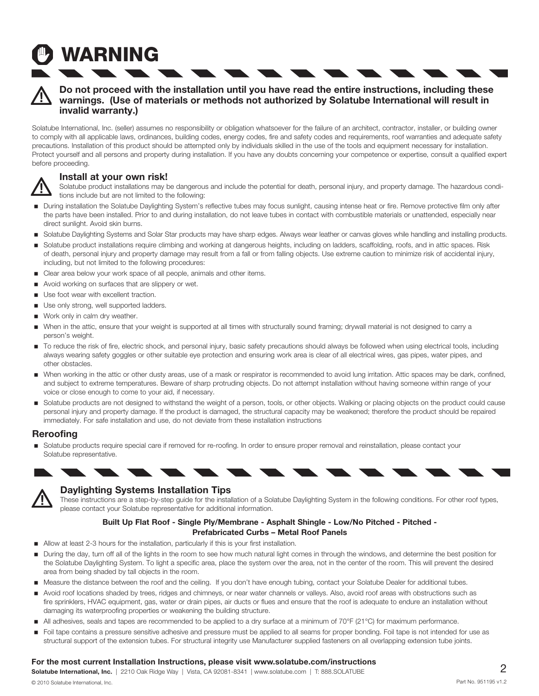# Do not proceed with the installation until you have read the entire instructions, including these warnings. (Use of materials or methods not authorized by Solatube International will result in invalid warranty.)

Solatube International, Inc. (seller) assumes no responsibility or obligation whatsoever for the failure of an architect, contractor, installer, or building owner to comply with all applicable laws, ordinances, building codes, energy codes, fire and safety codes and requirements, roof warranties and adequate safety precautions. Installation of this product should be attempted only by individuals skilled in the use of the tools and equipment necessary for installation. Protect yourself and all persons and property during installation. If you have any doubts concerning your competence or expertise, consult a qualified expert before proceeding.

# Install at your own risk!

**WARNING** 

Solatube product installations may be dangerous and include the potential for death, personal injury, and property damage. The hazardous conditions include but are not limited to the following:

- During installation the Solatube Daylighting System's reflective tubes may focus sunlight, causing intense heat or fire. Remove protective film only after the parts have been installed. Prior to and during installation, do not leave tubes in contact with combustible materials or unattended, especially near direct sunlight. Avoid skin burns.
- Solatube Daylighting Systems and Solar Star products may have sharp edges. Always wear leather or canvas gloves while handling and installing products.
- Solatube product installations require climbing and working at dangerous heights, including on ladders, scaffolding, roofs, and in attic spaces. Risk of death, personal injury and property damage may result from a fall or from falling objects. Use extreme caution to minimize risk of accidental injury, including, but not limited to the following procedures:
- Clear area below your work space of all people, animals and other items.
- Avoid working on surfaces that are slippery or wet.
- Use foot wear with excellent traction.
- Use only strong, well supported ladders.
- Work only in calm dry weather.
- When in the attic, ensure that your weight is supported at all times with structurally sound framing; drywall material is not designed to carry a person's weight.
- To reduce the risk of fire, electric shock, and personal injury, basic safety precautions should always be followed when using electrical tools, including always wearing safety goggles or other suitable eye protection and ensuring work area is clear of all electrical wires, gas pipes, water pipes, and other obstacles.
- When working in the attic or other dusty areas, use of a mask or respirator is recommended to avoid lung irritation. Attic spaces may be dark, confined, and subject to extreme temperatures. Beware of sharp protruding objects. Do not attempt installation without having someone within range of your voice or close enough to come to your aid, if necessary.
- Solatube products are not designed to withstand the weight of a person, tools, or other objects. Walking or placing objects on the product could cause personal injury and property damage. If the product is damaged, the structural capacity may be weakened; therefore the product should be repaired immediately. For safe installation and use, do not deviate from these installation instructions

## Reroofing

Solatube products require special care if removed for re-roofing. In order to ensure proper removal and reinstallation, please contact your Solatube representative.





## Daylighting Systems Installation Tips

These instructions are a step-by-step guide for the installation of a Solatube Daylighting System in the following conditions. For other roof types, please contact your Solatube representative for additional information.

## Built Up Flat Roof - Single Ply/Membrane - Asphalt Shingle - Low/No Pitched - Pitched - Prefabricated Curbs – Metal Roof Panels

- Allow at least 2-3 hours for the installation, particularly if this is your first installation.
- During the day, turn off all of the lights in the room to see how much natural light comes in through the windows, and determine the best position for the Solatube Daylighting System. To light a specific area, place the system over the area, not in the center of the room. This will prevent the desired area from being shaded by tall objects in the room.
- Measure the distance between the roof and the ceiling. If you don't have enough tubing, contact your Solatube Dealer for additional tubes.
- Avoid roof locations shaded by trees, ridges and chimneys, or near water channels or valleys. Also, avoid roof areas with obstructions such as fire sprinklers, HVAC equipment, gas, water or drain pipes, air ducts or flues and ensure that the roof is adequate to endure an installation without damaging its waterproofing properties or weakening the building structure.
- All adhesives, seals and tapes are recommended to be applied to a dry surface at a minimum of 70°F (21°C) for maximum performance.
- Foil tape contains a pressure sensitive adhesive and pressure must be applied to all seams for proper bonding. Foil tape is not intended for use as structural support of the extension tubes. For structural integrity use Manufacturer supplied fasteners on all overlapping extension tube joints.

### For the most current Installation Instructions, please visit www.solatube.com/instructions

Solatube International, Inc. | 2210 Oak Ridge Way | Vista, CA 92081-8341 | www.solatube.com | T: 888.SOLATUBE 2 © 2010 Solatube International, Inc. Part No. 951195 v1.2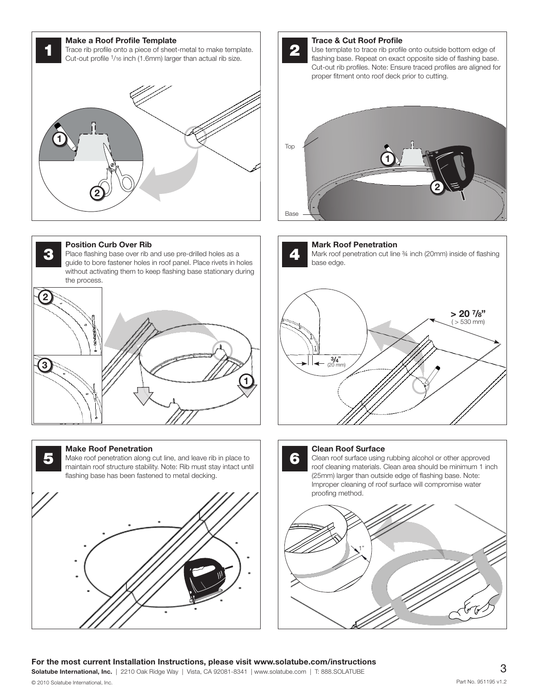Make a Roof Profile Template<br>Trace rib profile onto a piece of sheet-metal to make template. Cut-out profile 1/16 inch (1.6mm) larger than actual rib size.





#### Position Curb Over Rib

**3** Place flashing base over rib and use pre-drilled holes as a guide to been fectorer below in red panel. Place rivets in below guide to bore fastener holes in roof panel. Place rivets in holes without activating them to keep flashing base stationary during the process.



#### Make Roof Penetration







Mark Roof Penetration Mark roof penetration cut line ¾ inch (20mm) inside of flashing base edge.





Clean roof surface using rubbing alcohol or other approved roof cleaning materials. Clean area should be minimum 1 inch (25mm) larger than outside edge of flashing base. Note: Improper cleaning of roof surface will compromise water proofing method.